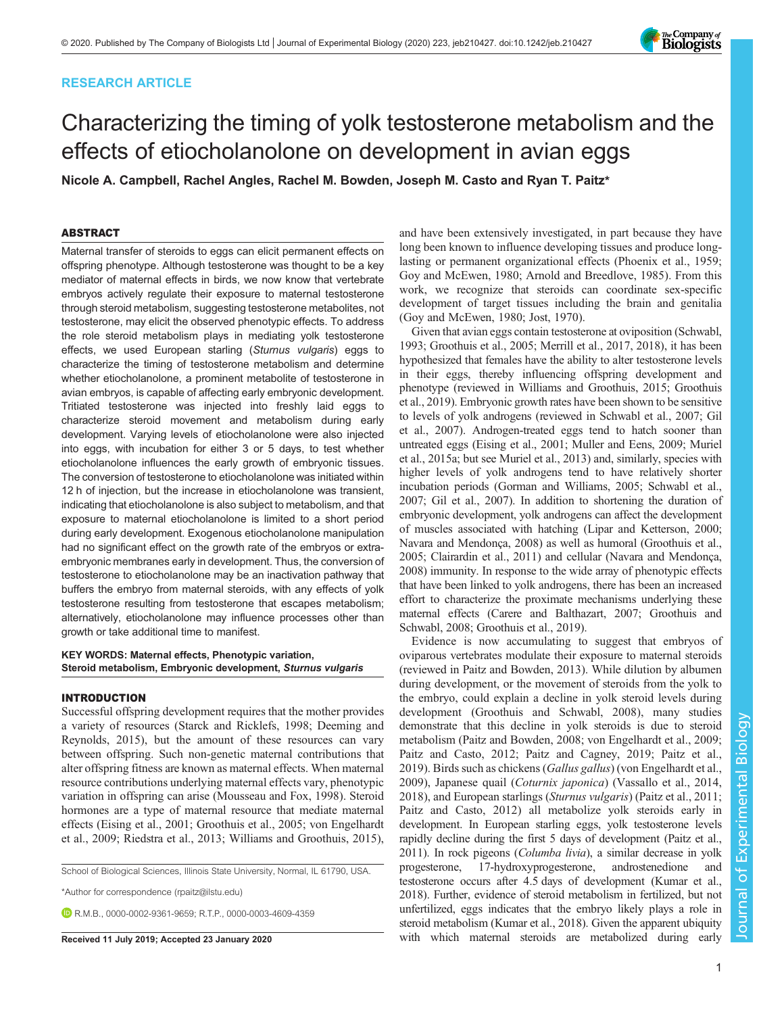# RESEARCH ARTICLE

# Characterizing the timing of yolk testosterone metabolism and the effects of etiocholanolone on development in avian eggs

Nicole A. Campbell, Rachel Angles, Rachel M. Bowden, Joseph M. Casto and Ryan T. Paitz\*

# ABSTRACT

Maternal transfer of steroids to eggs can elicit permanent effects on offspring phenotype. Although testosterone was thought to be a key mediator of maternal effects in birds, we now know that vertebrate embryos actively regulate their exposure to maternal testosterone through steroid metabolism, suggesting testosterone metabolites, not testosterone, may elicit the observed phenotypic effects. To address the role steroid metabolism plays in mediating yolk testosterone effects, we used European starling (Sturnus vulgaris) eggs to characterize the timing of testosterone metabolism and determine whether etiocholanolone, a prominent metabolite of testosterone in avian embryos, is capable of affecting early embryonic development. Tritiated testosterone was injected into freshly laid eggs to characterize steroid movement and metabolism during early development. Varying levels of etiocholanolone were also injected into eggs, with incubation for either 3 or 5 days, to test whether etiocholanolone influences the early growth of embryonic tissues. The conversion of testosterone to etiocholanolone was initiated within 12 h of injection, but the increase in etiocholanolone was transient, indicating that etiocholanolone is also subject to metabolism, and that exposure to maternal etiocholanolone is limited to a short period during early development. Exogenous etiocholanolone manipulation had no significant effect on the growth rate of the embryos or extraembryonic membranes early in development. Thus, the conversion of testosterone to etiocholanolone may be an inactivation pathway that buffers the embryo from maternal steroids, with any effects of yolk testosterone resulting from testosterone that escapes metabolism; alternatively, etiocholanolone may influence processes other than growth or take additional time to manifest.

#### KEY WORDS: Maternal effects, Phenotypic variation, Steroid metabolism, Embryonic development, Sturnus vulgaris

# INTRODUCTION

Successful offspring development requires that the mother provides a variety of resources [\(Starck and Ricklefs, 1998](#page-8-0); [Deeming and](#page-7-0) [Reynolds, 2015\)](#page-7-0), but the amount of these resources can vary between offspring. Such non-genetic maternal contributions that alter offspring fitness are known as maternal effects. When maternal resource contributions underlying maternal effects vary, phenotypic variation in offspring can arise [\(Mousseau and Fox, 1998](#page-7-0)). Steroid hormones are a type of maternal resource that mediate maternal effects ([Eising et al., 2001](#page-7-0); [Groothuis et al., 2005;](#page-7-0) [von Engelhardt](#page-8-0) [et al., 2009](#page-8-0); [Riedstra et al., 2013](#page-8-0); [Williams and Groothuis, 2015\)](#page-8-0),

School of Biological Sciences, Illinois State University, Normal, IL 61790, USA.

\*Author for correspondence [\(rpaitz@ilstu.edu](mailto:rpaitz@ilstu.edu))

R.M.B., [0000-0002-9361-9659;](http://orcid.org/0000-0002-9361-9659) R.T.P., [0000-0003-4609-4359](http://orcid.org/0000-0003-4609-4359)

and have been extensively investigated, in part because they have long been known to influence developing tissues and produce longlasting or permanent organizational effects ([Phoenix et al., 1959](#page-7-0); [Goy and McEwen, 1980](#page-7-0); [Arnold and Breedlove, 1985](#page-7-0)). From this work, we recognize that steroids can coordinate sex-specific development of target tissues including the brain and genitalia [\(Goy and McEwen, 1980](#page-7-0); [Jost, 1970\)](#page-7-0).

Given that avian eggs contain testosterone at oviposition [\(Schwabl,](#page-8-0) [1993;](#page-8-0) [Groothuis et al., 2005; Merrill et al., 2017](#page-7-0), [2018\)](#page-7-0), it has been hypothesized that females have the ability to alter testosterone levels in their eggs, thereby influencing offspring development and phenotype (reviewed in [Williams and Groothuis, 2015;](#page-8-0) [Groothuis](#page-7-0) [et al., 2019](#page-7-0)). Embryonic growth rates have been shown to be sensitive to levels of yolk androgens (reviewed in [Schwabl et al., 2007](#page-8-0); [Gil](#page-7-0) [et al., 2007\)](#page-7-0). Androgen-treated eggs tend to hatch sooner than untreated eggs [\(Eising et al., 2001](#page-7-0); Muller and Eens, 2009; [Muriel](#page-7-0) [et al., 2015a](#page-7-0); but see [Muriel et al., 2013](#page-7-0)) and, similarly, species with higher levels of yolk androgens tend to have relatively shorter incubation periods [\(Gorman and Williams, 2005;](#page-7-0) [Schwabl et al.,](#page-8-0) [2007;](#page-8-0) [Gil et al., 2007](#page-7-0)). In addition to shortening the duration of embryonic development, yolk androgens can affect the development of muscles associated with hatching [\(Lipar and Ketterson, 2000](#page-7-0); [Navara and Mendonça, 2008\)](#page-7-0) as well as humoral [\(Groothuis et al.,](#page-7-0) [2005; Clairardin et al., 2011\)](#page-7-0) and cellular [\(Navara and Mendonça,](#page-7-0) [2008\)](#page-7-0) immunity. In response to the wide array of phenotypic effects that have been linked to yolk androgens, there has been an increased effort to characterize the proximate mechanisms underlying these maternal effects ([Carere and Balthazart, 2007; Groothuis and](#page-7-0) [Schwabl, 2008](#page-7-0); [Groothuis et al., 2019](#page-7-0)).

Evidence is now accumulating to suggest that embryos of oviparous vertebrates modulate their exposure to maternal steroids (reviewed in [Paitz and Bowden, 2013](#page-7-0)). While dilution by albumen during development, or the movement of steroids from the yolk to the embryo, could explain a decline in yolk steroid levels during development [\(Groothuis and Schwabl, 2008\)](#page-7-0), many studies demonstrate that this decline in yolk steroids is due to steroid metabolism [\(Paitz and Bowden, 2008;](#page-7-0) [von Engelhardt et al., 2009](#page-8-0); [Paitz and Casto, 2012; Paitz and Cagney, 2019; Paitz et al.,](#page-7-0) [2019\)](#page-7-0). Birds such as chickens (Gallus gallus) ([von Engelhardt et al.,](#page-8-0) [2009\)](#page-8-0), Japanese quail (Coturnix japonica) ([Vassallo et al., 2014,](#page-8-0) [2018\)](#page-8-0), and European starlings (Sturnus vulgaris) [\(Paitz et al., 2011](#page-7-0); [Paitz and Casto, 2012](#page-7-0)) all metabolize yolk steroids early in development. In European starling eggs, yolk testosterone levels rapidly decline during the first 5 days of development [\(Paitz et al.,](#page-7-0) [2011\)](#page-7-0). In rock pigeons (Columba livia), a similar decrease in yolk progesterone, 17-hydroxyprogesterone, androstenedione and 17-hydroxyprogesterone, androstenedione testosterone occurs after 4.5 days of development ([Kumar et al.,](#page-7-0) [2018\)](#page-7-0). Further, evidence of steroid metabolism in fertilized, but not unfertilized, eggs indicates that the embryo likely plays a role in steroid metabolism [\(Kumar et al., 2018\)](#page-7-0). Given the apparent ubiquity Received 11 July 2019; Accepted 23 January 2020 with which maternal steroids are metabolized during early

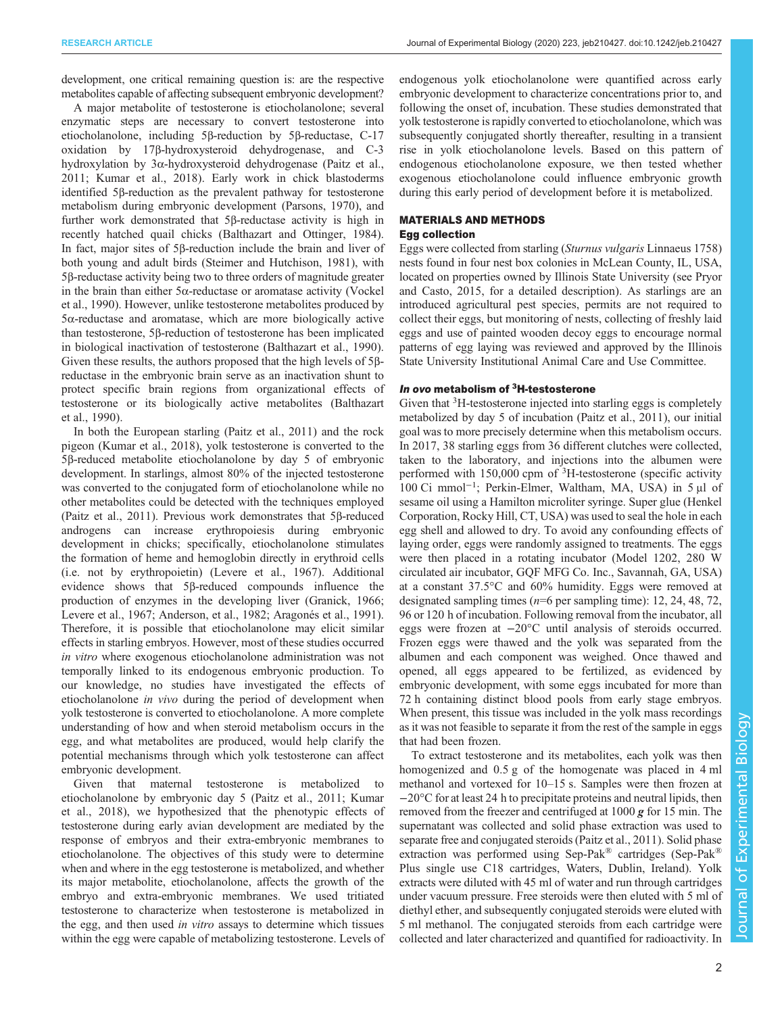development, one critical remaining question is: are the respective metabolites capable of affecting subsequent embryonic development?

A major metabolite of testosterone is etiocholanolone; several enzymatic steps are necessary to convert testosterone into etiocholanolone, including 5β-reduction by 5β-reductase, C-17 oxidation by 17β-hydroxysteroid dehydrogenase, and C-3 hydroxylation by 3α-hydroxysteroid dehydrogenase [\(Paitz et al.,](#page-7-0) [2011](#page-7-0); [Kumar et al., 2018\)](#page-7-0). Early work in chick blastoderms identified 5β-reduction as the prevalent pathway for testosterone metabolism during embryonic development [\(Parsons, 1970](#page-7-0)), and further work demonstrated that 5β-reductase activity is high in recently hatched quail chicks ([Balthazart and Ottinger, 1984\)](#page-7-0). In fact, major sites of 5β-reduction include the brain and liver of both young and adult birds ([Steimer and Hutchison, 1981](#page-8-0)), with 5β-reductase activity being two to three orders of magnitude greater in the brain than either 5α-reductase or aromatase activity [\(Vockel](#page-8-0) [et al., 1990\)](#page-8-0). However, unlike testosterone metabolites produced by 5α-reductase and aromatase, which are more biologically active than testosterone, 5β-reduction of testosterone has been implicated in biological inactivation of testosterone ([Balthazart et al., 1990\)](#page-7-0). Given these results, the authors proposed that the high levels of 5βreductase in the embryonic brain serve as an inactivation shunt to protect specific brain regions from organizational effects of testosterone or its biologically active metabolites [\(Balthazart](#page-7-0) [et al., 1990\)](#page-7-0).

In both the European starling [\(Paitz et al., 2011\)](#page-7-0) and the rock pigeon ([Kumar et al., 2018\)](#page-7-0), yolk testosterone is converted to the 5β-reduced metabolite etiocholanolone by day 5 of embryonic development. In starlings, almost 80% of the injected testosterone was converted to the conjugated form of etiocholanolone while no other metabolites could be detected with the techniques employed [\(Paitz et al., 2011](#page-7-0)). Previous work demonstrates that 5β-reduced androgens can increase erythropoiesis during embryonic development in chicks; specifically, etiocholanolone stimulates the formation of heme and hemoglobin directly in erythroid cells (i.e. not by erythropoietin) [\(Levere et al., 1967](#page-7-0)). Additional evidence shows that 5β-reduced compounds influence the production of enzymes in the developing liver [\(Granick, 1966](#page-7-0); [Levere et al., 1967; Anderson, et al., 1982](#page-7-0); [Aragonés et al., 1991\)](#page-7-0). Therefore, it is possible that etiocholanolone may elicit similar effects in starling embryos. However, most of these studies occurred in vitro where exogenous etiocholanolone administration was not temporally linked to its endogenous embryonic production. To our knowledge, no studies have investigated the effects of etiocholanolone in vivo during the period of development when yolk testosterone is converted to etiocholanolone. A more complete understanding of how and when steroid metabolism occurs in the egg, and what metabolites are produced, would help clarify the potential mechanisms through which yolk testosterone can affect embryonic development.

Given that maternal testosterone is metabolized to etiocholanolone by embryonic day 5 [\(Paitz et al., 2011](#page-7-0); [Kumar](#page-7-0) [et al., 2018](#page-7-0)), we hypothesized that the phenotypic effects of testosterone during early avian development are mediated by the response of embryos and their extra-embryonic membranes to etiocholanolone. The objectives of this study were to determine when and where in the egg testosterone is metabolized, and whether its major metabolite, etiocholanolone, affects the growth of the embryo and extra-embryonic membranes. We used tritiated testosterone to characterize when testosterone is metabolized in the egg, and then used in vitro assays to determine which tissues within the egg were capable of metabolizing testosterone. Levels of

endogenous yolk etiocholanolone were quantified across early embryonic development to characterize concentrations prior to, and following the onset of, incubation. These studies demonstrated that yolk testosterone is rapidly converted to etiocholanolone, which was subsequently conjugated shortly thereafter, resulting in a transient rise in yolk etiocholanolone levels. Based on this pattern of endogenous etiocholanolone exposure, we then tested whether exogenous etiocholanolone could influence embryonic growth during this early period of development before it is metabolized.

## MATERIALS AND METHODS Egg collection

Eggs were collected from starling (Sturnus vulgaris Linnaeus 1758) nests found in four nest box colonies in McLean County, IL, USA, located on properties owned by Illinois State University (see [Pryor](#page-7-0) [and Casto, 2015](#page-7-0), for a detailed description). As starlings are an introduced agricultural pest species, permits are not required to collect their eggs, but monitoring of nests, collecting of freshly laid eggs and use of painted wooden decoy eggs to encourage normal patterns of egg laying was reviewed and approved by the Illinois State University Institutional Animal Care and Use Committee.

# In ovo metabolism of 3H-testosterone

Given that <sup>3</sup>H-testosterone injected into starling eggs is completely metabolized by day 5 of incubation ([Paitz et al., 2011](#page-7-0)), our initial goal was to more precisely determine when this metabolism occurs. In 2017, 38 starling eggs from 36 different clutches were collected, taken to the laboratory, and injections into the albumen were performed with 150,000 cpm of <sup>3</sup>H-testosterone (specific activity 100 Ci mmol<sup>-1</sup>; Perkin-Elmer, Waltham, MA, USA) in 5 μl of sesame oil using a Hamilton microliter syringe. Super glue (Henkel Corporation, Rocky Hill, CT, USA) was used to seal the hole in each egg shell and allowed to dry. To avoid any confounding effects of laying order, eggs were randomly assigned to treatments. The eggs were then placed in a rotating incubator (Model 1202, 280 W circulated air incubator, GQF MFG Co. Inc., Savannah, GA, USA) at a constant 37.5°C and 60% humidity. Eggs were removed at designated sampling times ( $n=6$  per sampling time): 12, 24, 48, 72, 96 or 120 h of incubation. Following removal from the incubator, all eggs were frozen at −20°C until analysis of steroids occurred. Frozen eggs were thawed and the yolk was separated from the albumen and each component was weighed. Once thawed and opened, all eggs appeared to be fertilized, as evidenced by embryonic development, with some eggs incubated for more than 72 h containing distinct blood pools from early stage embryos. When present, this tissue was included in the yolk mass recordings as it was not feasible to separate it from the rest of the sample in eggs that had been frozen.

To extract testosterone and its metabolites, each yolk was then homogenized and 0.5 g of the homogenate was placed in 4 ml methanol and vortexed for 10–15 s. Samples were then frozen at −20°C for at least 24 h to precipitate proteins and neutral lipids, then removed from the freezer and centrifuged at 1000 g for 15 min. The supernatant was collected and solid phase extraction was used to separate free and conjugated steroids [\(Paitz et al., 2011\)](#page-7-0). Solid phase extraction was performed using Sep-Pak® cartridges (Sep-Pak® Plus single use C18 cartridges, Waters, Dublin, Ireland). Yolk extracts were diluted with 45 ml of water and run through cartridges under vacuum pressure. Free steroids were then eluted with 5 ml of diethyl ether, and subsequently conjugated steroids were eluted with 5 ml methanol. The conjugated steroids from each cartridge were collected and later characterized and quantified for radioactivity. In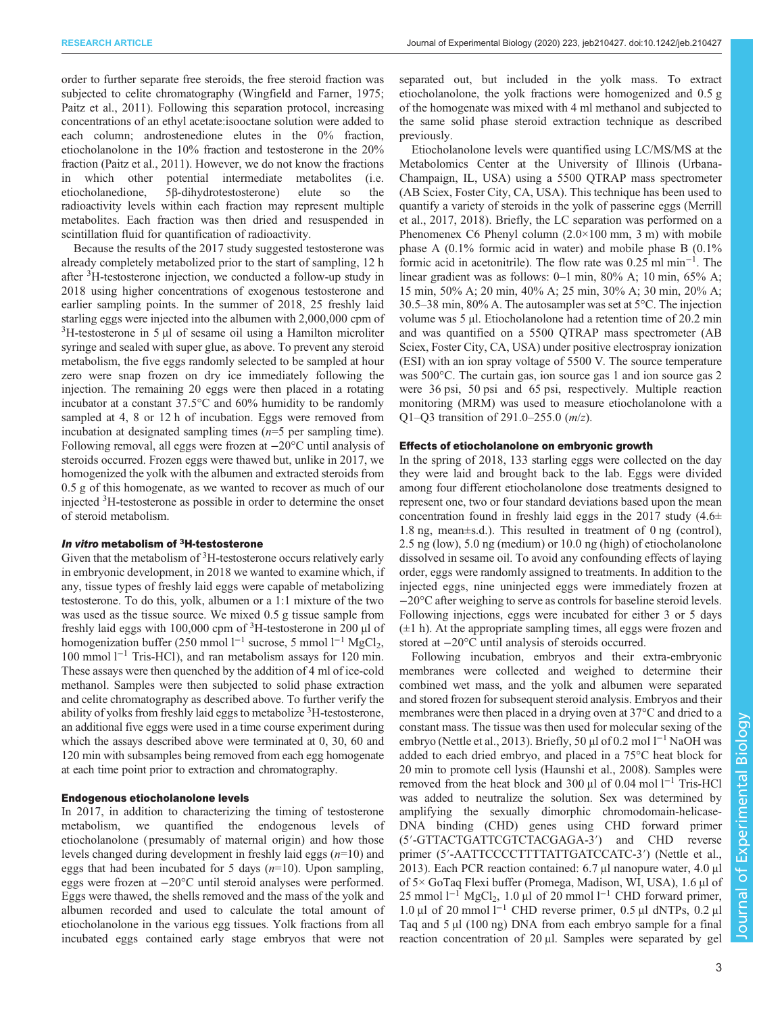order to further separate free steroids, the free steroid fraction was subjected to celite chromatography ([Wingfield and Farner, 1975](#page-8-0); [Paitz et al., 2011](#page-7-0)). Following this separation protocol, increasing concentrations of an ethyl acetate:isooctane solution were added to each column; androstenedione elutes in the 0% fraction, etiocholanolone in the 10% fraction and testosterone in the 20% fraction [\(Paitz et al., 2011\)](#page-7-0). However, we do not know the fractions which other potential intermediate metabolites (i.e. etiocholanedione, 5β-dihydrotestosterone) elute so the radioactivity levels within each fraction may represent multiple metabolites. Each fraction was then dried and resuspended in scintillation fluid for quantification of radioactivity.

Because the results of the 2017 study suggested testosterone was already completely metabolized prior to the start of sampling, 12 h after <sup>3</sup>H-testosterone injection, we conducted a follow-up study in 2018 using higher concentrations of exogenous testosterone and earlier sampling points. In the summer of 2018, 25 freshly laid starling eggs were injected into the albumen with 2,000,000 cpm of 3 H-testosterone in 5 μl of sesame oil using a Hamilton microliter syringe and sealed with super glue, as above. To prevent any steroid metabolism, the five eggs randomly selected to be sampled at hour zero were snap frozen on dry ice immediately following the injection. The remaining 20 eggs were then placed in a rotating incubator at a constant 37.5°C and 60% humidity to be randomly sampled at 4, 8 or 12 h of incubation. Eggs were removed from incubation at designated sampling times  $(n=5$  per sampling time). Following removal, all eggs were frozen at −20°C until analysis of steroids occurred. Frozen eggs were thawed but, unlike in 2017, we homogenized the yolk with the albumen and extracted steroids from 0.5 g of this homogenate, as we wanted to recover as much of our injected <sup>3</sup> H-testosterone as possible in order to determine the onset of steroid metabolism.

# In vitro metabolism of 3H-testosterone

Given that the metabolism of <sup>3</sup>H-testosterone occurs relatively early in embryonic development, in 2018 we wanted to examine which, if any, tissue types of freshly laid eggs were capable of metabolizing testosterone. To do this, yolk, albumen or a 1:1 mixture of the two was used as the tissue source. We mixed 0.5 g tissue sample from freshly laid eggs with 100,000 cpm of  $3H$ -testosterone in 200 µl of homogenization buffer (250 mmol l<sup>−1</sup> sucrose, 5 mmol l<sup>−1</sup> MgCl<sub>2</sub>, 100 mmol l−<sup>1</sup> Tris-HCl), and ran metabolism assays for 120 min. These assays were then quenched by the addition of 4 ml of ice-cold methanol. Samples were then subjected to solid phase extraction and celite chromatography as described above. To further verify the ability of yolks from freshly laid eggs to metabolize <sup>3</sup>H-testosterone, an additional five eggs were used in a time course experiment during which the assays described above were terminated at 0, 30, 60 and 120 min with subsamples being removed from each egg homogenate at each time point prior to extraction and chromatography.

#### Endogenous etiocholanolone levels

In 2017, in addition to characterizing the timing of testosterone metabolism, we quantified the endogenous levels of etiocholanolone ( presumably of maternal origin) and how those levels changed during development in freshly laid eggs  $(n=10)$  and eggs that had been incubated for 5 days  $(n=10)$ . Upon sampling, eggs were frozen at −20°C until steroid analyses were performed. Eggs were thawed, the shells removed and the mass of the yolk and albumen recorded and used to calculate the total amount of etiocholanolone in the various egg tissues. Yolk fractions from all incubated eggs contained early stage embryos that were not

separated out, but included in the yolk mass. To extract etiocholanolone, the yolk fractions were homogenized and 0.5 g of the homogenate was mixed with 4 ml methanol and subjected to the same solid phase steroid extraction technique as described previously.

Etiocholanolone levels were quantified using LC/MS/MS at the Metabolomics Center at the University of Illinois (Urbana-Champaign, IL, USA) using a 5500 QTRAP mass spectrometer (AB Sciex, Foster City, CA, USA). This technique has been used to quantify a variety of steroids in the yolk of passerine eggs ([Merrill](#page-7-0) [et al., 2017, 2018\)](#page-7-0). Briefly, the LC separation was performed on a Phenomenex C6 Phenyl column (2.0×100 mm, 3 m) with mobile phase A (0.1% formic acid in water) and mobile phase B (0.1% formic acid in acetonitrile). The flow rate was 0.25 ml min−<sup>1</sup> . The linear gradient was as follows: 0–1 min, 80% A; 10 min, 65% A; 15 min, 50% A; 20 min, 40% A; 25 min, 30% A; 30 min, 20% A; 30.5–38 min, 80% A. The autosampler was set at 5°C. The injection volume was 5 µl. Etiocholanolone had a retention time of 20.2 min and was quantified on a 5500 QTRAP mass spectrometer (AB Sciex, Foster City, CA, USA) under positive electrospray ionization (ESI) with an ion spray voltage of 5500 V. The source temperature was 500°C. The curtain gas, ion source gas 1 and ion source gas 2 were 36 psi, 50 psi and 65 psi, respectively. Multiple reaction monitoring (MRM) was used to measure etiocholanolone with a Q1–Q3 transition of 291.0–255.0  $(m/z)$ .

# Effects of etiocholanolone on embryonic growth

In the spring of 2018, 133 starling eggs were collected on the day they were laid and brought back to the lab. Eggs were divided among four different etiocholanolone dose treatments designed to represent one, two or four standard deviations based upon the mean concentration found in freshly laid eggs in the 2017 study  $(4.6\pm)$ 1.8 ng, mean±s.d.). This resulted in treatment of 0 ng (control), 2.5 ng (low), 5.0 ng (medium) or 10.0 ng (high) of etiocholanolone dissolved in sesame oil. To avoid any confounding effects of laying order, eggs were randomly assigned to treatments. In addition to the injected eggs, nine uninjected eggs were immediately frozen at −20°C after weighing to serve as controls for baseline steroid levels. Following injections, eggs were incubated for either 3 or 5 days  $(\pm 1)$ . At the appropriate sampling times, all eggs were frozen and stored at −20°C until analysis of steroids occurred.

Following incubation, embryos and their extra-embryonic membranes were collected and weighed to determine their combined wet mass, and the yolk and albumen were separated and stored frozen for subsequent steroid analysis. Embryos and their membranes were then placed in a drying oven at 37°C and dried to a constant mass. The tissue was then used for molecular sexing of the embryo [\(Nettle et al., 2013\)](#page-7-0). Briefly, 50 µl of 0.2 mol l−<sup>1</sup> NaOH was added to each dried embryo, and placed in a 75°C heat block for 20 min to promote cell lysis [\(Haunshi et al., 2008\)](#page-7-0). Samples were removed from the heat block and 300 µl of 0.04 mol  $1^{-1}$  Tris-HCl was added to neutralize the solution. Sex was determined by amplifying the sexually dimorphic chromodomain-helicase-DNA binding (CHD) genes using CHD forward primer (5′-GTTACTGATTCGTCTACGAGA-3′) and CHD reverse primer (5′-AATTCCCCTTTTATTGATCCATC-3′) ([Nettle et al.,](#page-7-0) [2013\)](#page-7-0). Each PCR reaction contained: 6.7 μl nanopure water, 4.0 μl of 5× GoTaq Flexi buffer (Promega, Madison, WI, USA), 1.6 μl of 25 mmol l<sup>-1</sup> MgCl<sub>2</sub>, 1.0 µl of 20 mmol l<sup>-1</sup> CHD forward primer, 1.0 μl of 20 mmol  $l^{-1}$  CHD reverse primer, 0.5 μl dNTPs, 0.2 μl Taq and 5 μl (100 ng) DNA from each embryo sample for a final reaction concentration of 20 μl. Samples were separated by gel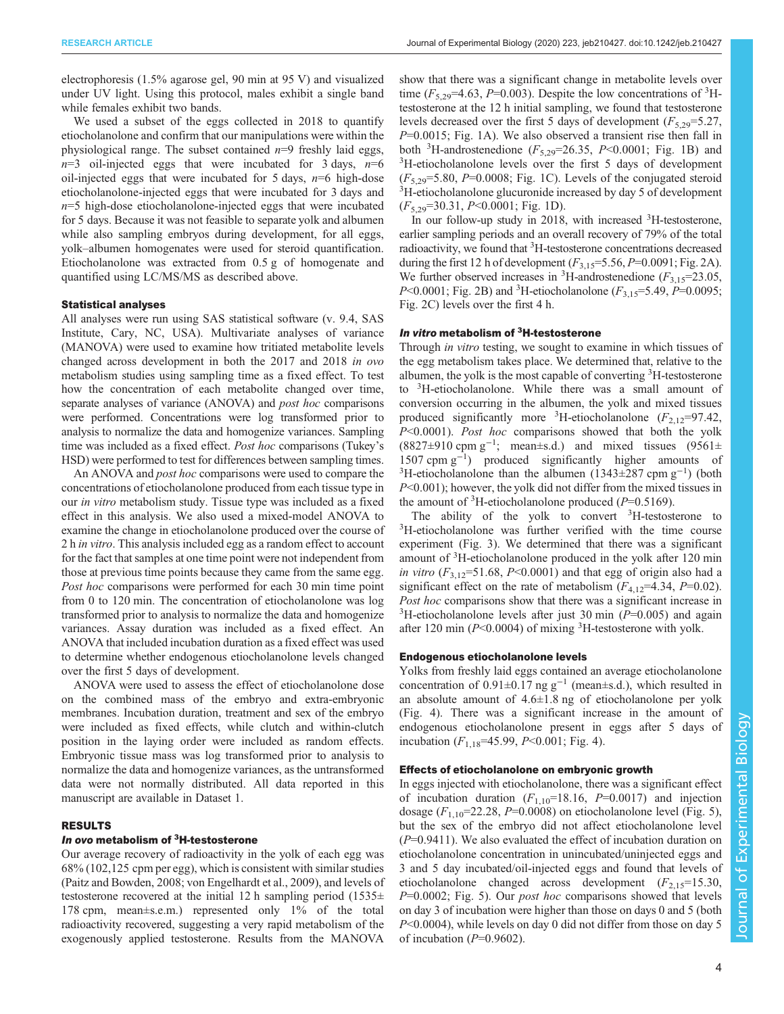electrophoresis (1.5% agarose gel, 90 min at 95 V) and visualized under UV light. Using this protocol, males exhibit a single band while females exhibit two bands.

We used a subset of the eggs collected in 2018 to quantify etiocholanolone and confirm that our manipulations were within the physiological range. The subset contained  $n=9$  freshly laid eggs,  $n=3$  oil-injected eggs that were incubated for 3 days,  $n=6$ oil-injected eggs that were incubated for 5 days,  $n=6$  high-dose etiocholanolone-injected eggs that were incubated for 3 days and  $n=5$  high-dose etiocholanolone-injected eggs that were incubated for 5 days. Because it was not feasible to separate yolk and albumen while also sampling embryos during development, for all eggs, yolk–albumen homogenates were used for steroid quantification. Etiocholanolone was extracted from 0.5 g of homogenate and quantified using LC/MS/MS as described above.

#### Statistical analyses

All analyses were run using SAS statistical software (v. 9.4, SAS Institute, Cary, NC, USA). Multivariate analyses of variance (MANOVA) were used to examine how tritiated metabolite levels changed across development in both the 2017 and 2018 in ovo metabolism studies using sampling time as a fixed effect. To test how the concentration of each metabolite changed over time, separate analyses of variance (ANOVA) and *post hoc* comparisons were performed. Concentrations were log transformed prior to analysis to normalize the data and homogenize variances. Sampling time was included as a fixed effect. Post hoc comparisons (Tukey's HSD) were performed to test for differences between sampling times.

An ANOVA and *post hoc* comparisons were used to compare the concentrations of etiocholanolone produced from each tissue type in our in vitro metabolism study. Tissue type was included as a fixed effect in this analysis. We also used a mixed-model ANOVA to examine the change in etiocholanolone produced over the course of 2 h in vitro. This analysis included egg as a random effect to account for the fact that samples at one time point were not independent from those at previous time points because they came from the same egg. Post hoc comparisons were performed for each 30 min time point from 0 to 120 min. The concentration of etiocholanolone was log transformed prior to analysis to normalize the data and homogenize variances. Assay duration was included as a fixed effect. An ANOVA that included incubation duration as a fixed effect was used to determine whether endogenous etiocholanolone levels changed over the first 5 days of development.

ANOVA were used to assess the effect of etiocholanolone dose on the combined mass of the embryo and extra-embryonic membranes. Incubation duration, treatment and sex of the embryo were included as fixed effects, while clutch and within-clutch position in the laying order were included as random effects. Embryonic tissue mass was log transformed prior to analysis to normalize the data and homogenize variances, as the untransformed data were not normally distributed. All data reported in this manuscript are available in [Dataset 1](http://jeb.biologists.org/lookup/doi/10.1242/jeb.210427.supplemental).

# RESULTS

# In ovo metabolism of <sup>3</sup>H-testosterone

Our average recovery of radioactivity in the yolk of each egg was 68% (102,125 cpm per egg), which is consistent with similar studies [\(Paitz and Bowden, 2008;](#page-7-0) [von Engelhardt et al., 2009\)](#page-8-0), and levels of testosterone recovered at the initial 12 h sampling period  $(1535\pm$ 178 cpm, mean±s.e.m.) represented only 1% of the total radioactivity recovered, suggesting a very rapid metabolism of the exogenously applied testosterone. Results from the MANOVA

show that there was a significant change in metabolite levels over time  $(F_{5,29}=4.63, P=0.003)$ . Despite the low concentrations of <sup>3</sup>H-testosterone at the 12 h initial sampling we found that testosterone testosterone at the 12 h initial sampling, we found that testosterone levels decreased over the first 5 days of development ( $F_{5,29}=5.27$ ,  $P=0.0015$ ; [Fig. 1A](#page-4-0)). We also observed a transient rise then fall in both <sup>3</sup>H-androstenedione ( $F_{5,29}$ =26.35, P<0.0001; [Fig. 1](#page-4-0)B) and <sup>3</sup>H-etiocholanolone levels over the first 5 days of development <sup>3</sup>H-etiocholanolone levels over the first 5 days of development  $(F_{5,29}=5.80, P=0.0008;$  [Fig. 1](#page-4-0)C). Levels of the conjugated steroid <sup>3</sup>H-etiocholanolone glucuronide increased by day 5 of development  $(F_{5,29}=30.31, P<0.0001;$  [Fig. 1D](#page-4-0)).

In our follow-up study in 2018, with increased <sup>3</sup>H-testosterone, earlier sampling periods and an overall recovery of 79% of the total radioactivity, we found that <sup>3</sup>H-testosterone concentrations decreased during the first 12 h of development  $(F_{3,15}=5.56, P=0.0091; Fig. 2A)$  $(F_{3,15}=5.56, P=0.0091; Fig. 2A)$  $(F_{3,15}=5.56, P=0.0091; Fig. 2A)$ . We further observed increases in <sup>3</sup>H-androstenedione  $(F_{3,15}=23.05,$ <br> $P<0.0001$ : Fig. 2B) and <sup>3</sup>H-etiocholanolone  $(F_{3,15}=5.49, P=0.0095$ .  $P \le 0.0001$ ; [Fig. 2](#page-5-0)B) and <sup>3</sup>H-etiocholanolone ( $F_{3,15} = 5.49$ ,  $P = 0.0095$ ;<br>Fig. 2C) levels over the first 4 h [Fig. 2](#page-5-0)C) levels over the first 4 h.

# In vitro metabolism of <sup>3</sup>H-testosterone

Through *in vitro* testing, we sought to examine in which tissues of the egg metabolism takes place. We determined that, relative to the albumen, the yolk is the most capable of converting <sup>3</sup>H-testosterone to <sup>3</sup> H-etiocholanolone. While there was a small amount of conversion occurring in the albumen, the yolk and mixed tissues produced significantly more <sup>3</sup>H-etiocholanolone  $(F_{2,12}=97.42,$ <br> $P<0.0001$ ) *Post hoc* comparisons showed that both the volk P<0.0001). Post hoc comparisons showed that both the yolk (8827±910 cpm  $g^{-1}$ ; mean±s.d.) and mixed tissues (9561± 1507 cpm  $g^{-1}$ ) produced significantly higher amounts of  $3H$ -etiocholanolone than the albumen (1343+287 cpm  $g^{-1}$ ) (both H-etiocholanolone than the albumen (1343±287 cpm g−<sup>1</sup> ) (both P<0.001); however, the yolk did not differ from the mixed tissues in the amount of <sup>3</sup>H-etiocholanolone produced ( $P=0.5169$ ).<br>The ability of the volk to convert <sup>3</sup>H-testost

The ability of the yolk to convert  ${}^{3}$ H-testosterone to  ${}^{3}$ H-testosterone to  ${}^{3}$ H-testosterone to  ${}^{3}$ H-testosterone to  ${}^{3}$ H-testosterone to  ${}^{3}$ <sup>3</sup>H-etiocholanolone was further verified with the time course experiment ([Fig. 3](#page-5-0)). We determined that there was a significant amount of <sup>3</sup>H-etiocholanolone produced in the yolk after 120 min in vitro  $(F_{3,12} = 51.68, P < 0.0001)$  and that egg of origin also had a significant effect on the rate of metabolism  $(F_{4,12}=4.34, P=0.02)$ . Post hoc comparisons show that there was a significant increase in <sup>3</sup>H-etiocholanolone levels after just 30 min ( $P=0.005$ ) and again after 120 min ( $P \le 0.0004$ ) of mixing <sup>3</sup>H-testosterone with yolk.

# Endogenous etiocholanolone levels

Yolks from freshly laid eggs contained an average etiocholanolone concentration of  $0.91\pm0.17$  ng g<sup>-1</sup> (mean±s.d.), which resulted in an absolute amount of  $4.6\pm1.8$  ng of etiocholanolone per yolk [\(Fig. 4\)](#page-5-0). There was a significant increase in the amount of endogenous etiocholanolone present in eggs after 5 days of incubation  $(F_{1,18} = 45.99, P \le 0.001;$  [Fig. 4](#page-5-0)).

#### Effects of etiocholanolone on embryonic growth

In eggs injected with etiocholanolone, there was a significant effect of incubation duration  $(F_{1,10}=18.16, P=0.0017)$  and injection dosage  $(F_{1,10} = 22.28, P = 0.0008)$  on etiocholanolone level [\(Fig. 5\)](#page-6-0), but the sex of the embryo did not affect etiocholanolone level  $(P=0.9411)$ . We also evaluated the effect of incubation duration on etiocholanolone concentration in unincubated/uninjected eggs and 3 and 5 day incubated/oil-injected eggs and found that levels of etiocholanolone changed across development  $(F_{2,15}=15.30,$  $P=0.0002$ ; [Fig. 5\)](#page-6-0). Our *post hoc* comparisons showed that levels on day 3 of incubation were higher than those on days 0 and 5 (both P<0.0004), while levels on day 0 did not differ from those on day 5 of incubation  $(P=0.9602)$ .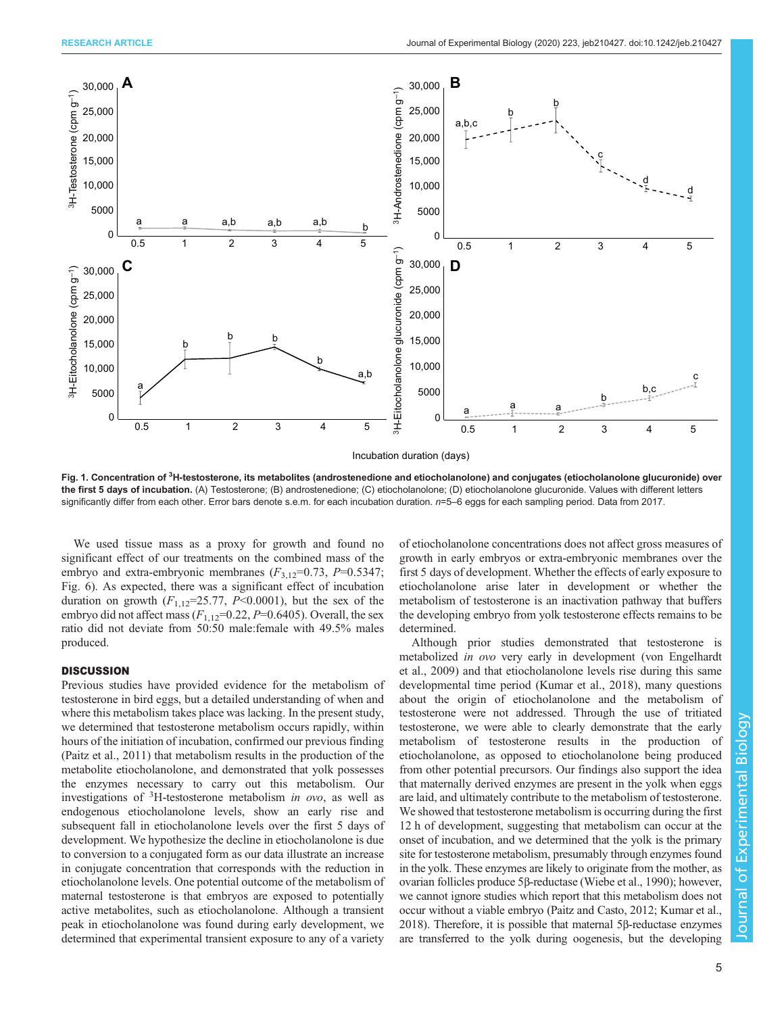<span id="page-4-0"></span>

Fig. 1. Concentration of <sup>3</sup>H-testosterone, its metabolites (androstenedione and etiocholanolone) and conjugates (etiocholanolone glucuronide) over the first 5 days of incubation. (A) Testosterone; (B) androstenedione; (C) etiocholanolone; (D) etiocholanolone glucuronide. Values with different letters significantly differ from each other. Error bars denote s.e.m. for each incubation duration.  $n=5-6$  eggs for each sampling period. Data from 2017.

We used tissue mass as a proxy for growth and found no significant effect of our treatments on the combined mass of the embryo and extra-embryonic membranes  $(F_{3,12}=0.73, P=0.5347;$ [Fig. 6](#page-6-0)). As expected, there was a significant effect of incubation duration on growth  $(F_{1,12}=25.77, P<0.0001)$ , but the sex of the embryo did not affect mass  $(F_{1,12}=0.22, P=0.6405)$ . Overall, the sex ratio did not deviate from 50:50 male:female with 49.5% males produced.

### **DISCUSSION**

Previous studies have provided evidence for the metabolism of testosterone in bird eggs, but a detailed understanding of when and where this metabolism takes place was lacking. In the present study, we determined that testosterone metabolism occurs rapidly, within hours of the initiation of incubation, confirmed our previous finding [\(Paitz et al., 2011\)](#page-7-0) that metabolism results in the production of the metabolite etiocholanolone, and demonstrated that yolk possesses the enzymes necessary to carry out this metabolism. Our investigations of  ${}^{3}$ H-testosterone metabolism *in ovo*, as well as endogenous etiocholanolone levels, show an early rise and subsequent fall in etiocholanolone levels over the first 5 days of development. We hypothesize the decline in etiocholanolone is due to conversion to a conjugated form as our data illustrate an increase in conjugate concentration that corresponds with the reduction in etiocholanolone levels. One potential outcome of the metabolism of maternal testosterone is that embryos are exposed to potentially active metabolites, such as etiocholanolone. Although a transient peak in etiocholanolone was found during early development, we determined that experimental transient exposure to any of a variety

of etiocholanolone concentrations does not affect gross measures of growth in early embryos or extra-embryonic membranes over the first 5 days of development. Whether the effects of early exposure to etiocholanolone arise later in development or whether the metabolism of testosterone is an inactivation pathway that buffers the developing embryo from yolk testosterone effects remains to be determined.

Although prior studies demonstrated that testosterone is metabolized in ovo very early in development [\(von Engelhardt](#page-8-0) [et al., 2009](#page-8-0)) and that etiocholanolone levels rise during this same developmental time period ([Kumar et al., 2018](#page-7-0)), many questions about the origin of etiocholanolone and the metabolism of testosterone were not addressed. Through the use of tritiated testosterone, we were able to clearly demonstrate that the early metabolism of testosterone results in the production of etiocholanolone, as opposed to etiocholanolone being produced from other potential precursors. Our findings also support the idea that maternally derived enzymes are present in the yolk when eggs are laid, and ultimately contribute to the metabolism of testosterone. We showed that testosterone metabolism is occurring during the first 12 h of development, suggesting that metabolism can occur at the onset of incubation, and we determined that the yolk is the primary site for testosterone metabolism, presumably through enzymes found in the yolk. These enzymes are likely to originate from the mother, as ovarian follicles produce 5β-reductase [\(Wiebe et al., 1990\)](#page-8-0); however, we cannot ignore studies which report that this metabolism does not occur without a viable embryo [\(Paitz and Casto, 2012; Kumar et al.,](#page-7-0) [2018\)](#page-7-0). Therefore, it is possible that maternal 5β-reductase enzymes are transferred to the yolk during oogenesis, but the developing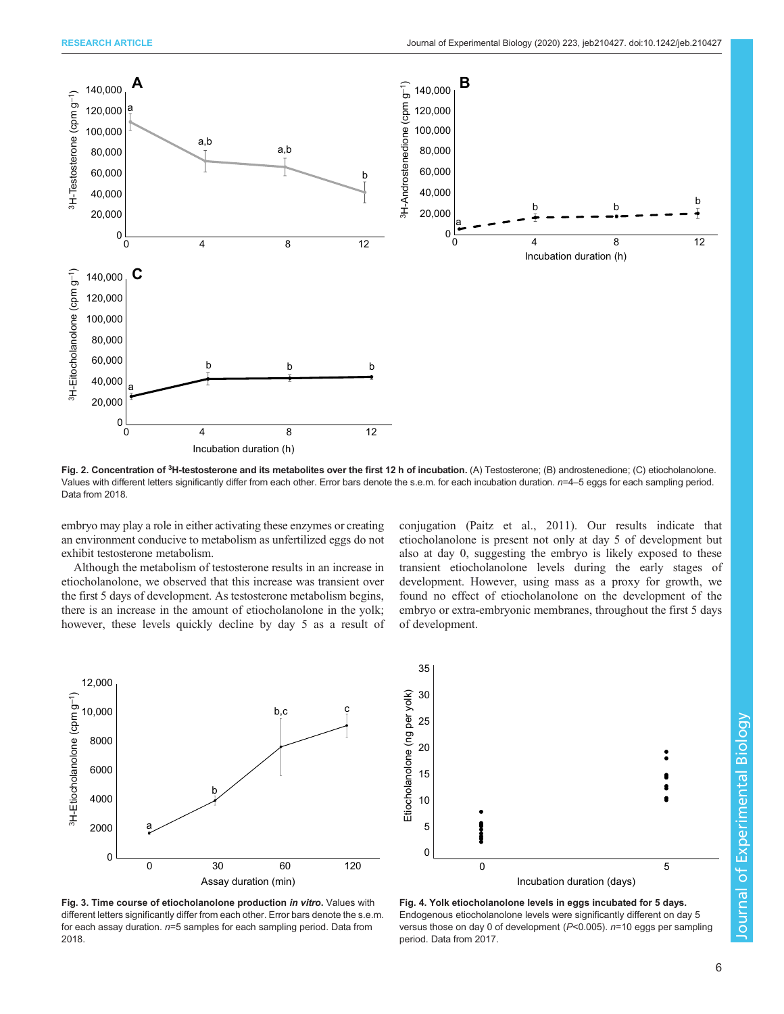<span id="page-5-0"></span>

Fig. 2. Concentration of <sup>3</sup>H-testosterone and its metabolites over the first 12 h of incubation. (A) Testosterone; (B) androstenedione; (C) etiocholanolone. Values with different letters significantly differ from each other. Error bars denote the s.e.m. for each incubation duration. n=4-5 eggs for each sampling period. Data from 2018.

embryo may play a role in either activating these enzymes or creating an environment conducive to metabolism as unfertilized eggs do not exhibit testosterone metabolism.

Although the metabolism of testosterone results in an increase in etiocholanolone, we observed that this increase was transient over the first 5 days of development. As testosterone metabolism begins, there is an increase in the amount of etiocholanolone in the yolk; however, these levels quickly decline by day 5 as a result of conjugation [\(Paitz et al., 2011\)](#page-7-0). Our results indicate that etiocholanolone is present not only at day 5 of development but also at day 0, suggesting the embryo is likely exposed to these transient etiocholanolone levels during the early stages of development. However, using mass as a proxy for growth, we found no effect of etiocholanolone on the development of the embryo or extra-embryonic membranes, throughout the first 5 days of development.



Fig. 3. Time course of etiocholanolone production in vitro. Values with different letters significantly differ from each other. Error bars denote the s.e.m. for each assay duration.  $n=5$  samples for each sampling period. Data from 2018.



Fig. 4. Yolk etiocholanolone levels in eggs incubated for 5 days. Endogenous etiocholanolone levels were significantly different on day 5 versus those on day 0 of development ( $P<0.005$ ).  $n=10$  eggs per sampling period. Data from 2017.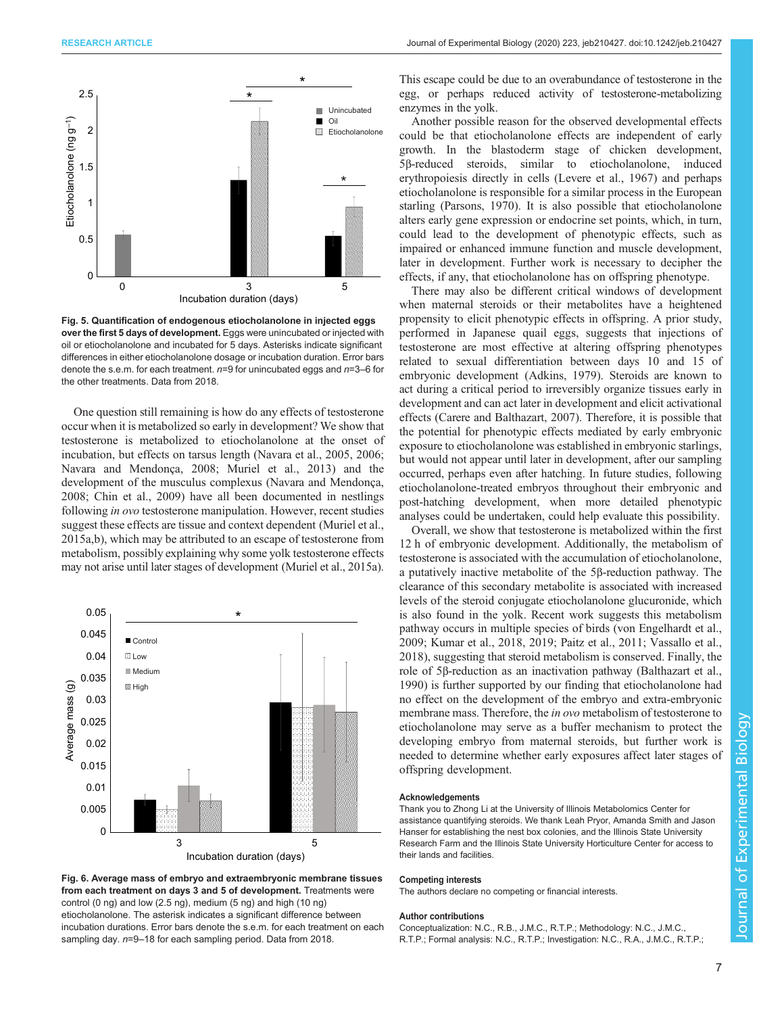<span id="page-6-0"></span>

Fig. 5. Quantification of endogenous etiocholanolone in injected eggs over the first 5 days of development. Eggs were unincubated or injected with oil or etiocholanolone and incubated for 5 days. Asterisks indicate significant differences in either etiocholanolone dosage or incubation duration. Error bars denote the s.e.m. for each treatment.  $n=9$  for unincubated eggs and  $n=3-6$  for the other treatments. Data from 2018.

One question still remaining is how do any effects of testosterone occur when it is metabolized so early in development? We show that testosterone is metabolized to etiocholanolone at the onset of incubation, but effects on tarsus length [\(Navara et al., 2005](#page-7-0), [2006](#page-7-0); [Navara and Mendonça, 2008; Muriel et al., 2013](#page-7-0)) and the development of the musculus complexus [\(Navara and Mendonça,](#page-7-0) [2008](#page-7-0); [Chin et al., 2009](#page-7-0)) have all been documented in nestlings following in ovo testosterone manipulation. However, recent studies suggest these effects are tissue and context dependent [\(Muriel et al.,](#page-7-0) [2015a](#page-7-0),[b](#page-7-0)), which may be attributed to an escape of testosterone from metabolism, possibly explaining why some yolk testosterone effects may not arise until later stages of development [\(Muriel et al., 2015a\)](#page-7-0).





This escape could be due to an overabundance of testosterone in the egg, or perhaps reduced activity of testosterone-metabolizing enzymes in the yolk.

Another possible reason for the observed developmental effects could be that etiocholanolone effects are independent of early growth. In the blastoderm stage of chicken development, 5β-reduced steroids, similar to etiocholanolone, induced erythropoiesis directly in cells [\(Levere et al., 1967](#page-7-0)) and perhaps etiocholanolone is responsible for a similar process in the European starling [\(Parsons, 1970\)](#page-7-0). It is also possible that etiocholanolone alters early gene expression or endocrine set points, which, in turn, could lead to the development of phenotypic effects, such as impaired or enhanced immune function and muscle development, later in development. Further work is necessary to decipher the effects, if any, that etiocholanolone has on offspring phenotype.

There may also be different critical windows of development when maternal steroids or their metabolites have a heightened propensity to elicit phenotypic effects in offspring. A prior study, performed in Japanese quail eggs, suggests that injections of testosterone are most effective at altering offspring phenotypes related to sexual differentiation between days 10 and 15 of embryonic development [\(Adkins, 1979](#page-7-0)). Steroids are known to act during a critical period to irreversibly organize tissues early in development and can act later in development and elicit activational effects ([Carere and Balthazart, 2007](#page-7-0)). Therefore, it is possible that the potential for phenotypic effects mediated by early embryonic exposure to etiocholanolone was established in embryonic starlings, but would not appear until later in development, after our sampling occurred, perhaps even after hatching. In future studies, following etiocholanolone-treated embryos throughout their embryonic and post-hatching development, when more detailed phenotypic analyses could be undertaken, could help evaluate this possibility.

Overall, we show that testosterone is metabolized within the first 12 h of embryonic development. Additionally, the metabolism of testosterone is associated with the accumulation of etiocholanolone, a putatively inactive metabolite of the 5β-reduction pathway. The clearance of this secondary metabolite is associated with increased levels of the steroid conjugate etiocholanolone glucuronide, which is also found in the yolk. Recent work suggests this metabolism pathway occurs in multiple species of birds [\(von Engelhardt et al.,](#page-8-0) [2009;](#page-8-0) [Kumar et al., 2018](#page-7-0), [2019; Paitz et al., 2011](#page-7-0); [Vassallo et al.,](#page-8-0) [2018\)](#page-8-0), suggesting that steroid metabolism is conserved. Finally, the role of 5β-reduction as an inactivation pathway ([Balthazart et al.,](#page-7-0) [1990\)](#page-7-0) is further supported by our finding that etiocholanolone had no effect on the development of the embryo and extra-embryonic membrane mass. Therefore, the in ovo metabolism of testosterone to etiocholanolone may serve as a buffer mechanism to protect the developing embryo from maternal steroids, but further work is needed to determine whether early exposures affect later stages of offspring development.

#### Acknowledgements

Thank you to Zhong Li at the University of Illinois Metabolomics Center for assistance quantifying steroids. We thank Leah Pryor, Amanda Smith and Jason Hanser for establishing the nest box colonies, and the Illinois State University Research Farm and the Illinois State University Horticulture Center for access to their lands and facilities.

#### Competing interests

The authors declare no competing or financial interests.

#### Author contributions

Conceptualization: N.C., R.B., J.M.C., R.T.P.; Methodology: N.C., J.M.C., R.T.P.; Formal analysis: N.C., R.T.P.; Investigation: N.C., R.A., J.M.C., R.T.P.;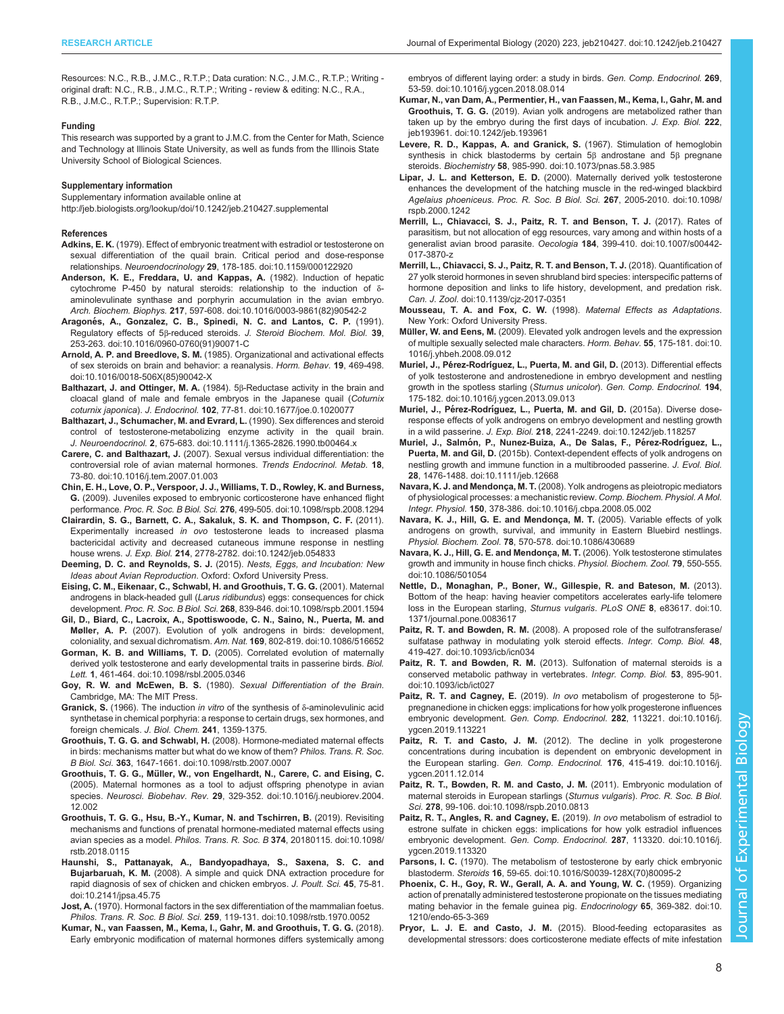<span id="page-7-0"></span>Resources: N.C., R.B., J.M.C., R.T.P.; Data curation: N.C., J.M.C., R.T.P.; Writing original draft: N.C., R.B., J.M.C., R.T.P.; Writing - review & editing: N.C., R.A., R.B., J.M.C., R.T.P.; Supervision: R.T.P.

#### Funding

This research was supported by a grant to J.M.C. from the Center for Math, Science and Technology at Illinois State University, as well as funds from the Illinois State University School of Biological Sciences.

#### Supplementary information

Supplementary information available online at <http://jeb.biologists.org/lookup/doi/10.1242/jeb.210427.supplemental>

#### References

- Adkins, E. K. [\(1979\). Effect of embryonic treatment with estradiol or testosterone on](https://doi.org/10.1159/000122920) [sexual differentiation of the quail brain. Critical period and dose-response](https://doi.org/10.1159/000122920) relationships. Neuroendocrinology 29[, 178-185. doi:10.1159/000122920](https://doi.org/10.1159/000122920)
- [Anderson, K. E., Freddara, U. and Kappas, A.](https://doi.org/10.1016/0003-9861(82)90542-2) (1982). Induction of hepatic [cytochrome P-450 by natural steroids: relationship to the induction of](https://doi.org/10.1016/0003-9861(82)90542-2) δ[aminolevulinate synthase and porphyrin accumulation in the avian embryo.](https://doi.org/10.1016/0003-9861(82)90542-2) Arch. Biochem. Biophys. 217[, 597-608. doi:10.1016/0003-9861\(82\)90542-2](https://doi.org/10.1016/0003-9861(82)90542-2)
- Aragoné[s, A., Gonzalez, C. B., Spinedi, N. C. and Lantos, C. P.](https://doi.org/10.1016/0960-0760(91)90071-C) (1991). Regulatory effects of 5β-reduced steroids. [J. Steroid Biochem. Mol. Biol.](https://doi.org/10.1016/0960-0760(91)90071-C) 39, [253-263. doi:10.1016/0960-0760\(91\)90071-C](https://doi.org/10.1016/0960-0760(91)90071-C)
- Arnold, A. P. and Breedlove, S. M. [\(1985\). Organizational and activational effects](https://doi.org/10.1016/0018-506X(85)90042-X) [of sex steroids on brain and behavior: a reanalysis.](https://doi.org/10.1016/0018-506X(85)90042-X) Horm. Behav. 19, 469-498. [doi:10.1016/0018-506X\(85\)90042-X](https://doi.org/10.1016/0018-506X(85)90042-X)
- Balthazart, J. and Ottinger, M. A. (1984). 5β[-Reductase activity in the brain and](https://doi.org/10.1677/joe.0.1020077) [cloacal gland of male and female embryos in the Japanese quail \(](https://doi.org/10.1677/joe.0.1020077)Coturnix coturnix japonica). J. Endocrinol. 102[, 77-81. doi:10.1677/joe.0.1020077](https://doi.org/10.1677/joe.0.1020077)
- [Balthazart, J., Schumacher, M. and Evrard, L.](https://doi.org/10.1111/j.1365-2826.1990.tb00464.x) (1990). Sex differences and steroid [control of testosterone-metabolizing enzyme activity in the quail brain.](https://doi.org/10.1111/j.1365-2826.1990.tb00464.x) J. Neuroendocrinol. 2[, 675-683. doi:10.1111/j.1365-2826.1990.tb00464.x](https://doi.org/10.1111/j.1365-2826.1990.tb00464.x)
- Carere, C. and Balthazart, J. [\(2007\). Sexual versus individual differentiation: the](https://doi.org/10.1016/j.tem.2007.01.003) [controversial role of avian maternal hormones.](https://doi.org/10.1016/j.tem.2007.01.003) Trends Endocrinol. Metab. 18, [73-80. doi:10.1016/j.tem.2007.01.003](https://doi.org/10.1016/j.tem.2007.01.003)
- [Chin, E. H., Love, O. P., Verspoor, J. J., Williams, T. D., Rowley, K. and Burness,](https://doi.org/10.1098/rspb.2008.1294) G. [\(2009\). Juveniles exposed to embryonic corticosterone have enhanced flight](https://doi.org/10.1098/rspb.2008.1294) performance. Proc. R. Soc. B Biol. Sci. 276[, 499-505. doi:10.1098/rspb.2008.1294](https://doi.org/10.1098/rspb.2008.1294)
- [Clairardin, S. G., Barnett, C. A., Sakaluk, S. K. and Thompson, C. F.](https://doi.org/10.1242/jeb.054833) (2011). Experimentally increased in ovo [testosterone leads to increased plasma](https://doi.org/10.1242/jeb.054833) [bactericidal activity and decreased cutaneous immune response in nestling](https://doi.org/10.1242/jeb.054833) house wrens. J. Exp. Biol. 214[, 2778-2782. doi:10.1242/jeb.054833](https://doi.org/10.1242/jeb.054833)
- Deeming, D. C. and Reynolds, S. J. (2015). Nests, Eggs, and Incubation: New Ideas about Avian Reproduction. Oxford: Oxford University Press.
- [Eising, C. M., Eikenaar, C., Schwabl, H. and Groothuis, T. G. G.](https://doi.org/10.1098/rspb.2001.1594) (2001). Maternal [androgens in black-headed gull \(](https://doi.org/10.1098/rspb.2001.1594)Larus ridibundus) eggs: consequences for chick development. Proc. R. Soc. B Biol. Sci. 268[, 839-846. doi:10.1098/rspb.2001.1594](https://doi.org/10.1098/rspb.2001.1594)
- [Gil, D., Biard, C., Lacroix, A., Spottiswoode, C. N., Saino, N., Puerta, M. and](https://doi.org/10.1086/516652) Møller, A. P. [\(2007\). Evolution of yolk androgens in birds: development,](https://doi.org/10.1086/516652) [coloniality, and sexual dichromatism.](https://doi.org/10.1086/516652) Am. Nat. 169, 802-819. doi:10.1086/516652
- Gorman, K. B. and Williams, T. D. [\(2005\). Correlated evolution of maternally](https://doi.org/10.1098/rsbl.2005.0346) [derived yolk testosterone and early developmental traits in passerine birds.](https://doi.org/10.1098/rsbl.2005.0346) Biol. Lett. 1[, 461-464. doi:10.1098/rsbl.2005.0346](https://doi.org/10.1098/rsbl.2005.0346)
- Goy, R. W. and McEwen, B. S. (1980). Sexual Differentiation of the Brain. Cambridge, MA: The MIT Press.
- Granick, S. (1966). The induction in vitro of the synthesis of δ-aminolevulinic acid synthetase in chemical porphyria: a response to certain drugs, sex hormones, and foreign chemicals. J. Biol. Chem. 241, 1359-1375.
- Groothuis, T. G. G. and Schwabl, H. [\(2008\). Hormone-mediated maternal effects](https://doi.org/10.1098/rstb.2007.0007) [in birds: mechanisms matter but what do we know of them?](https://doi.org/10.1098/rstb.2007.0007) Philos. Trans. R. Soc. B Biol. Sci. 363[, 1647-1661. doi:10.1098/rstb.2007.0007](https://doi.org/10.1098/rstb.2007.0007)
- Groothuis, T. G. G., Mü[ller, W., von Engelhardt, N., Carere, C. and Eising, C.](https://doi.org/10.1016/j.neubiorev.2004.12.002) [\(2005\). Maternal hormones as a tool to adjust offspring phenotype in avian](https://doi.org/10.1016/j.neubiorev.2004.12.002) species. Neurosci. Biobehav. Rev. 29[, 329-352. doi:10.1016/j.neubiorev.2004.](https://doi.org/10.1016/j.neubiorev.2004.12.002) [12.002](https://doi.org/10.1016/j.neubiorev.2004.12.002)
- [Groothuis, T. G. G., Hsu, B.-Y., Kumar, N. and Tschirren, B.](https://doi.org/10.1098/rstb.2018.0115) (2019). Revisiting [mechanisms and functions of prenatal hormone-mediated maternal effects using](https://doi.org/10.1098/rstb.2018.0115) [avian species as a model.](https://doi.org/10.1098/rstb.2018.0115) Philos. Trans. R. Soc. B 374, 20180115. doi:10.1098/ [rstb.2018.0115](https://doi.org/10.1098/rstb.2018.0115)
- [Haunshi, S., Pattanayak, A., Bandyopadhaya, S., Saxena, S. C. and](https://doi.org/10.2141/jpsa.45.75) Bujarbaruah, K. M. [\(2008\). A simple and quick DNA extraction procedure for](https://doi.org/10.2141/jpsa.45.75) [rapid diagnosis of sex of chicken and chicken embryos.](https://doi.org/10.2141/jpsa.45.75) J. Poult. Sci. 45, 75-81. [doi:10.2141/jpsa.45.75](https://doi.org/10.2141/jpsa.45.75)
- Jost, A. [\(1970\). Hormonal factors in the sex differentiation of the mammalian foetus.](https://doi.org/10.1098/rstb.1970.0052) Philos. Trans. R. Soc. B Biol. Sci. 259[, 119-131. doi:10.1098/rstb.1970.0052](https://doi.org/10.1098/rstb.1970.0052)
- [Kumar, N., van Faassen, M., Kema, I., Gahr, M. and Groothuis, T. G. G.](https://doi.org/10.1016/j.ygcen.2018.08.014) (2018). [Early embryonic modification of maternal hormones differs systemically among](https://doi.org/10.1016/j.ygcen.2018.08.014)

[embryos of different laying order: a study in birds.](https://doi.org/10.1016/j.ygcen.2018.08.014) Gen. Comp. Endocrinol. 269, [53-59. doi:10.1016/j.ygcen.2018.08.014](https://doi.org/10.1016/j.ygcen.2018.08.014)

- [Kumar, N., van Dam, A., Permentier, H., van Faassen, M., Kema, I., Gahr, M. and](https://doi.org/10.1242/jeb.193961) Groothuis, T. G. G. [\(2019\). Avian yolk androgens are metabolized rather than](https://doi.org/10.1242/jeb.193961) [taken up by the embryo during the first days of incubation.](https://doi.org/10.1242/jeb.193961) J. Exp. Biol. 222, [jeb193961. doi:10.1242/jeb.193961](https://doi.org/10.1242/jeb.193961)
- [Levere, R. D., Kappas, A. and Granick, S.](https://doi.org/10.1073/pnas.58.3.985) (1967). Stimulation of hemoglobin [synthesis in chick blastoderms by certain 5](https://doi.org/10.1073/pnas.58.3.985)β androstane and 5β pregnane steroids. Biochemistry 58[, 985-990. doi:10.1073/pnas.58.3.985](https://doi.org/10.1073/pnas.58.3.985)
- Lipar, J. L. and Ketterson, E. D. [\(2000\). Maternally derived yolk testosterone](https://doi.org/10.1098/rspb.2000.1242) [enhances the development of the hatching muscle in the red-winged blackbird](https://doi.org/10.1098/rspb.2000.1242) Agelaius phoeniceus. Proc. R. Soc. B Biol. Sci. 267[, 2005-2010. doi:10.1098/](https://doi.org/10.1098/rspb.2000.1242) [rspb.2000.1242](https://doi.org/10.1098/rspb.2000.1242)
- [Merrill, L., Chiavacci, S. J., Paitz, R. T. and Benson, T. J.](https://doi.org/10.1007/s00442-017-3870-z) (2017). Rates of [parasitism, but not allocation of egg resources, vary among and within hosts of a](https://doi.org/10.1007/s00442-017-3870-z) [generalist avian brood parasite.](https://doi.org/10.1007/s00442-017-3870-z) Oecologia 184, 399-410. doi:10.1007/s00442- [017-3870-z](https://doi.org/10.1007/s00442-017-3870-z)
- [Merrill, L., Chiavacci, S. J., Paitz, R. T. and Benson, T. J.](https://doi.org/10.1139/cjz-2017-0351) (2018). Quantification of [27 yolk steroid hormones in seven shrubland bird species: interspecific patterns of](https://doi.org/10.1139/cjz-2017-0351) [hormone deposition and links to life history, development, and predation risk.](https://doi.org/10.1139/cjz-2017-0351) Can. J. Zool. [doi:10.1139/cjz-2017-0351](https://doi.org/10.1139/cjz-2017-0351)
- Mousseau, T. A. and Fox, C. W. (1998). Maternal Effects as Adaptations. New York: Oxford University Press.
- Müller, W. and Eens, M. [\(2009\). Elevated yolk androgen levels and the expression](http://dx.doi.org/10.1016/j.yhbeh.2008.09.012) [of multiple sexually selected male characters.](http://dx.doi.org/10.1016/j.yhbeh.2008.09.012) Horm. Behav. 55, 175-181. doi:10. [1016/j.yhbeh.2008.09.012](http://dx.doi.org/10.1016/j.yhbeh.2008.09.012)
- Muriel, J., Pérez-Rodrí[guez, L., Puerta, M. and Gil, D.](https://doi.org/10.1016/j.ygcen.2013.09.013) (2013). Differential effects [of yolk testosterone and androstenedione in embryo development and nestling](https://doi.org/10.1016/j.ygcen.2013.09.013) [growth in the spotless starling \(](https://doi.org/10.1016/j.ygcen.2013.09.013)Sturnus unicolor). Gen. Comp. Endocrinol. 194, [175-182. doi:10.1016/j.ygcen.2013.09.013](https://doi.org/10.1016/j.ygcen.2013.09.013)
- Muriel, J., Pérez-Rodrí[guez, L., Puerta, M. and Gil, D.](https://doi.org/10.1242/jeb.118257) (2015a). Diverse dose[response effects of yolk androgens on embryo development and nestling growth](https://doi.org/10.1242/jeb.118257) in a wild passerine. J. Exp. Biol. 218[, 2241-2249. doi:10.1242/jeb.118257](https://doi.org/10.1242/jeb.118257)
- Muriel, J., Salmón, P., Nunez-Buiza, A., De Salas, F., Pérez-Rodríguez, L., Puerta, M. and Gil, D. [\(2015b\). Context-dependent effects of yolk androgens on](https://doi.org/10.1111/jeb.12668) [nestling growth and immune function in a multibrooded passerine.](https://doi.org/10.1111/jeb.12668) J. Evol. Biol. 28[, 1476-1488. doi:10.1111/jeb.12668](https://doi.org/10.1111/jeb.12668)
- Navara, K. J. and Mendonça, M. T. [\(2008\). Yolk androgens as pleiotropic mediators](https://doi.org/10.1016/j.cbpa.2008.05.002) [of physiological processes: a mechanistic review.](https://doi.org/10.1016/j.cbpa.2008.05.002) Comp. Biochem. Physiol. A Mol. Integr. Physiol. 150[, 378-386. doi:10.1016/j.cbpa.2008.05.002](https://doi.org/10.1016/j.cbpa.2008.05.002)
- [Navara, K. J., Hill, G. E. and Mendonça, M. T.](https://doi.org/10.1086/430689) (2005). Variable effects of yolk [androgens on growth, survival, and immunity in Eastern Bluebird nestlings.](https://doi.org/10.1086/430689) Physiol. Biochem. Zool. 78[, 570-578. doi:10.1086/430689](https://doi.org/10.1086/430689)
- [Navara, K. J., Hill, G. E. and Mendonça, M. T.](https://doi.org/10.1086/501054) (2006). Yolk testosterone stimulates [growth and immunity in house finch chicks.](https://doi.org/10.1086/501054) Physiol. Biochem. Zool. 79, 550-555. [doi:10.1086/501054](https://doi.org/10.1086/501054)
- [Nettle, D., Monaghan, P., Boner, W., Gillespie, R. and Bateson, M.](https://doi.org/10.1371/journal.pone.0083617) (2013). [Bottom of the heap: having heavier competitors accelerates early-life telomere](https://doi.org/10.1371/journal.pone.0083617) [loss in the European starling,](https://doi.org/10.1371/journal.pone.0083617) Sturnus vulgaris. PLoS ONE 8, e83617. doi:10. [1371/journal.pone.0083617](https://doi.org/10.1371/journal.pone.0083617)
- Paitz, R. T. and Bowden, R. M. [\(2008\). A proposed role of the sulfotransferase/](https://doi.org/10.1093/icb/icn034) [sulfatase pathway in modulating yolk steroid effects.](https://doi.org/10.1093/icb/icn034) Integr. Comp. Biol. 48, [419-427. doi:10.1093/icb/icn034](https://doi.org/10.1093/icb/icn034)

Paitz, R. T. and Bowden, R. M. [\(2013\). Sulfonation of maternal steroids is a](https://doi.org/10.1093/icb/ict027) [conserved metabolic pathway in vertebrates.](https://doi.org/10.1093/icb/ict027) Integr. Comp. Biol. 53, 895-901. [doi:10.1093/icb/ict027](https://doi.org/10.1093/icb/ict027)

- Paitz, R. T. and Cagney, E. (2019). In ovo [metabolism of progesterone to 5](https://doi.org/10.1016/j.ygcen.2019.113221)β[pregnanedione in chicken eggs: implications for how yolk progesterone influences](https://doi.org/10.1016/j.ygcen.2019.113221) [embryonic development.](https://doi.org/10.1016/j.ygcen.2019.113221) Gen. Comp. Endocrinol. 282, 113221. doi:10.1016/j. [ygcen.2019.113221](https://doi.org/10.1016/j.ygcen.2019.113221)
- Paitz, R. T. and Casto, J. M. [\(2012\). The decline in yolk progesterone](https://doi.org/10.1016/j.ygcen.2011.12.014) [concentrations during incubation is dependent on embryonic development in](https://doi.org/10.1016/j.ygcen.2011.12.014) the European starling. Gen. Comp. Endocrinol. 176[, 415-419. doi:10.1016/j.](https://doi.org/10.1016/j.ygcen.2011.12.014) [ygcen.2011.12.014](https://doi.org/10.1016/j.ygcen.2011.12.014)
- [Paitz, R. T., Bowden, R. M. and Casto, J. M.](https://doi.org/10.1098/rspb.2010.0813) (2011). Embryonic modulation of [maternal steroids in European starlings \(](https://doi.org/10.1098/rspb.2010.0813)Sturnus vulgaris). Proc. R. Soc. B Biol. Sci. 278[, 99-106. doi:10.1098/rspb.2010.0813](https://doi.org/10.1098/rspb.2010.0813)
- [Paitz, R. T., Angles, R. and Cagney, E.](https://doi.org/10.1016/j.ygcen.2019.113320) (2019). In ovo metabolism of estradiol to [estrone sulfate in chicken eggs: implications for how yolk estradiol influences](https://doi.org/10.1016/j.ygcen.2019.113320) [embryonic development.](https://doi.org/10.1016/j.ygcen.2019.113320) Gen. Comp. Endocrinol. 287, 113320. doi:10.1016/j. [ygcen.2019.113320](https://doi.org/10.1016/j.ygcen.2019.113320)
- Parsons, I. C. [\(1970\). The metabolism of testosterone by early chick embryonic](https://doi.org/10.1016/S0039-128X(70)80095-2) blastoderm. Steroids 16[, 59-65. doi:10.1016/S0039-128X\(70\)80095-2](https://doi.org/10.1016/S0039-128X(70)80095-2)
- [Phoenix, C. H., Goy, R. W., Gerall, A. A. and Young, W. C.](https://doi.org/10.1210/endo-65-3-369) (1959). Organizing [action of prenatally administered testosterone propionate on the tissues mediating](https://doi.org/10.1210/endo-65-3-369) [mating behavior in the female guinea pig.](https://doi.org/10.1210/endo-65-3-369) Endocrinology 65, 369-382. doi:10. [1210/endo-65-3-369](https://doi.org/10.1210/endo-65-3-369)
- Pryor, L. J. E. and Casto, J. M. [\(2015\). Blood-feeding ectoparasites as](https://doi.org/10.1002/jez.1942) [developmental stressors: does corticosterone mediate effects of mite infestation](https://doi.org/10.1002/jez.1942)